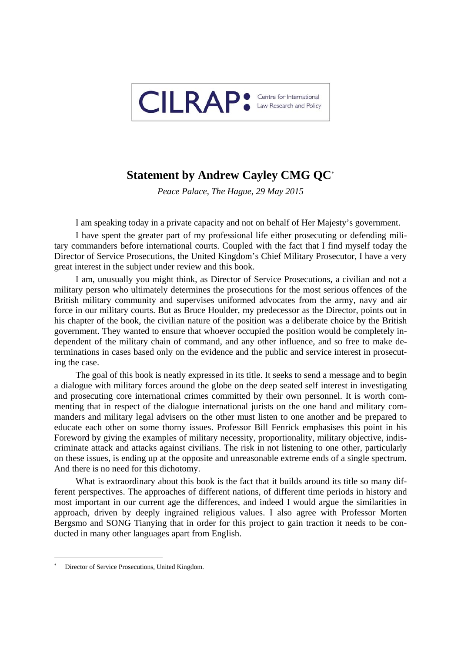

## **Statement by Andrew Cayley CMG QC**

*Peace Palace, The Hague, 29 May 2015* 

I am speaking today in a private capacity and not on behalf of Her Majesty's government.

I have spent the greater part of my professional life either prosecuting or defending military commanders before international courts. Coupled with the fact that I find myself today the Director of Service Prosecutions, the United Kingdom's Chief Military Prosecutor, I have a very great interest in the subject under review and this book.

I am, unusually you might think, as Director of Service Prosecutions, a civilian and not a military person who ultimately determines the prosecutions for the most serious offences of the British military community and supervises uniformed advocates from the army, navy and air force in our military courts. But as Bruce Houlder, my predecessor as the Director, points out in his chapter of the book, the civilian nature of the position was a deliberate choice by the British government. They wanted to ensure that whoever occupied the position would be completely independent of the military chain of command, and any other influence, and so free to make determinations in cases based only on the evidence and the public and service interest in prosecuting the case.

The goal of this book is neatly expressed in its title. It seeks to send a message and to begin a dialogue with military forces around the globe on the deep seated self interest in investigating and prosecuting core international crimes committed by their own personnel. It is worth commenting that in respect of the dialogue international jurists on the one hand and military commanders and military legal advisers on the other must listen to one another and be prepared to educate each other on some thorny issues. Professor Bill Fenrick emphasises this point in his Foreword by giving the examples of military necessity, proportionality, military objective, indiscriminate attack and attacks against civilians. The risk in not listening to one other, particularly on these issues, is ending up at the opposite and unreasonable extreme ends of a single spectrum. And there is no need for this dichotomy.

What is extraordinary about this book is the fact that it builds around its title so many different perspectives. The approaches of different nations, of different time periods in history and most important in our current age the differences, and indeed I would argue the similarities in approach, driven by deeply ingrained religious values. I also agree with Professor Morten Bergsmo and SONG Tianying that in order for this project to gain traction it needs to be conducted in many other languages apart from English.

<sup>\*</sup> Director of Service Prosecutions, United Kingdom.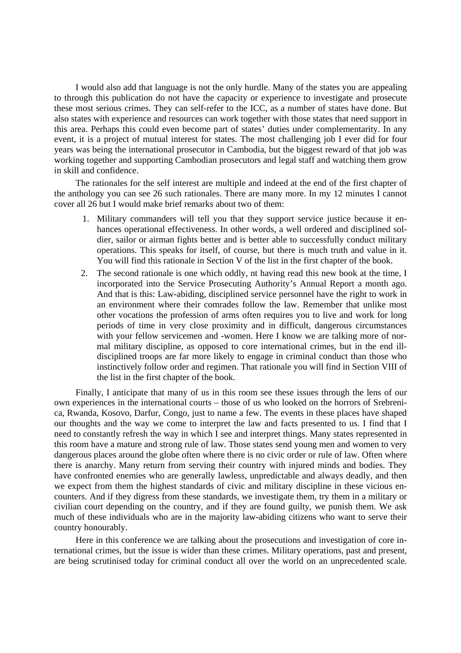I would also add that language is not the only hurdle. Many of the states you are appealing to through this publication do not have the capacity or experience to investigate and prosecute these most serious crimes. They can self-refer to the ICC, as a number of states have done. But also states with experience and resources can work together with those states that need support in this area. Perhaps this could even become part of states' duties under complementarity. In any event, it is a project of mutual interest for states. The most challenging job I ever did for four years was being the international prosecutor in Cambodia, but the biggest reward of that job was working together and supporting Cambodian prosecutors and legal staff and watching them grow in skill and confidence.

The rationales for the self interest are multiple and indeed at the end of the first chapter of the anthology you can see 26 such rationales. There are many more. In my 12 minutes I cannot cover all 26 but I would make brief remarks about two of them:

- 1. Military commanders will tell you that they support service justice because it enhances operational effectiveness. In other words, a well ordered and disciplined soldier, sailor or airman fights better and is better able to successfully conduct military operations. This speaks for itself, of course, but there is much truth and value in it. You will find this rationale in Section V of the list in the first chapter of the book.
- 2. The second rationale is one which oddly, nt having read this new book at the time, I incorporated into the Service Prosecuting Authority's Annual Report a month ago. And that is this: Law-abiding, disciplined service personnel have the right to work in an environment where their comrades follow the law. Remember that unlike most other vocations the profession of arms often requires you to live and work for long periods of time in very close proximity and in difficult, dangerous circumstances with your fellow servicemen and -women. Here I know we are talking more of normal military discipline, as opposed to core international crimes, but in the end illdisciplined troops are far more likely to engage in criminal conduct than those who instinctively follow order and regimen. That rationale you will find in Section VIII of the list in the first chapter of the book.

Finally, I anticipate that many of us in this room see these issues through the lens of our own experiences in the international courts – those of us who looked on the horrors of Srebrenica, Rwanda, Kosovo, Darfur, Congo, just to name a few. The events in these places have shaped our thoughts and the way we come to interpret the law and facts presented to us. I find that I need to constantly refresh the way in which I see and interpret things. Many states represented in this room have a mature and strong rule of law. Those states send young men and women to very dangerous places around the globe often where there is no civic order or rule of law. Often where there is anarchy. Many return from serving their country with injured minds and bodies. They have confronted enemies who are generally lawless, unpredictable and always deadly, and then we expect from them the highest standards of civic and military discipline in these vicious encounters. And if they digress from these standards, we investigate them, try them in a military or civilian court depending on the country, and if they are found guilty, we punish them. We ask much of these individuals who are in the majority law-abiding citizens who want to serve their country honourably.

Here in this conference we are talking about the prosecutions and investigation of core international crimes, but the issue is wider than these crimes. Military operations, past and present, are being scrutinised today for criminal conduct all over the world on an unprecedented scale.